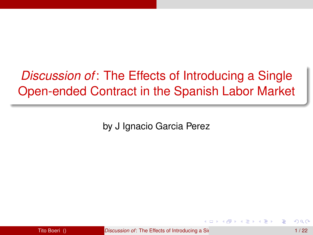# *Discussion of*: The Effects of Introducing a Single Open-ended Contract in the Spanish Labor Market

<span id="page-0-0"></span>by J Ignacio Garcia Perez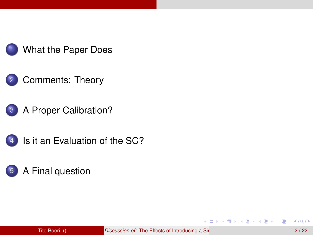

[Comments: Theory](#page-5-0)





[Is it an Evaluation of the SC?](#page-14-0)



4 17 18

A

 $\sim$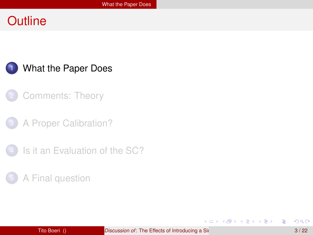

- [Comments: Theory](#page-5-0)
- [A Proper Calibration?](#page-8-0)
- [Is it an Evaluation of the SC?](#page-14-0)
- [A Final question](#page-19-0)

<span id="page-2-0"></span>イロト イ押ト イヨト イヨト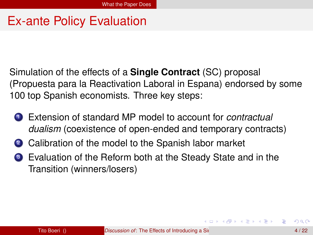# Ex-ante Policy Evaluation

Simulation of the effects of a **Single Contract** (SC) proposal (Propuesta para la Reactivation Laboral in Espana) endorsed by some 100 top Spanish economists. Three key steps:

- <sup>1</sup> Extension of standard MP model to account for *contractual dualism* (coexistence of open-ended and temporary contracts)
- <sup>2</sup> Calibration of the model to the Spanish labor market
- <sup>3</sup> Evaluation of the Reform both at the Steady State and in the Transition (winners/losers)

<span id="page-3-0"></span> $(0,1)$   $(0,1)$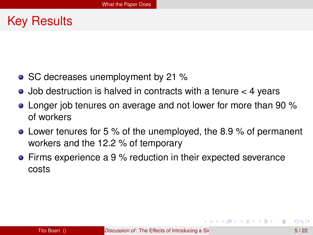# Key Results

- SC decreases unemployment by 21 %
- Job destruction is halved in contracts with a tenure < 4 years
- Longer job tenures on average and not lower for more than 90 % of workers
- Lower tenures for 5 % of the unemployed, the 8.9 % of permanent workers and the 12.2 % of temporary
- Firms experience a 9 % reduction in their expected severance costs

<span id="page-4-0"></span> $A \cap \overline{B} \rightarrow A \Rightarrow A \Rightarrow A \Rightarrow B$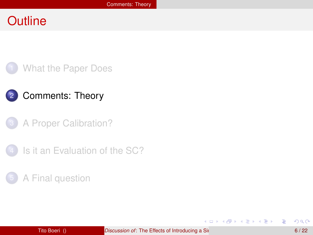



[A Proper Calibration?](#page-8-0)

[Is it an Evaluation of the SC?](#page-14-0)

#### [A Final question](#page-19-0)

<span id="page-5-0"></span> $(1, 1)$   $(1, 1)$   $(1, 1)$   $(1, 1)$   $(1, 1)$   $(1, 1)$   $(1, 1)$   $(1, 1)$   $(1, 1)$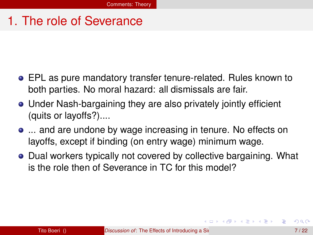# 1. The role of Severance

- EPL as pure mandatory transfer tenure-related. Rules known to both parties. No moral hazard: all dismissals are fair.
- Under Nash-bargaining they are also privately jointly efficient (quits or layoffs?)....
- ... and are undone by wage increasing in tenure. No effects on layoffs, except if binding (on entry wage) minimum wage.
- Dual workers typically not covered by collective bargaining. What is the role then of Severance in TC for this model?

<span id="page-6-0"></span> $\left\{ \bigcap_{i=1}^{n} x_i \mid i \in \mathbb{N} \right\}$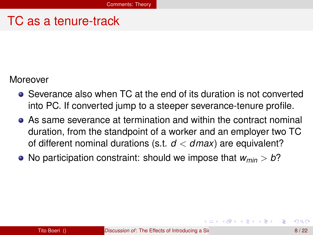### TC as a tenure-track

#### Moreover

- Severance also when TC at the end of its duration is not converted into PC. If converted jump to a steeper severance-tenure profile.
- As same severance at termination and within the contract nominal duration, from the standpoint of a worker and an employer two TC of different nominal durations (s.t. *d* < *dmax*) are equivalent?
- <span id="page-7-0"></span>• No participation constraint: should we impose that  $w_{min} > b$ ?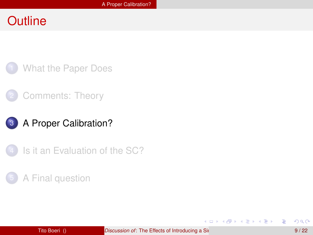**[What the Paper Does](#page-2-0)** 

[Comments: Theory](#page-5-0)

3 [A Proper Calibration?](#page-8-0)

[Is it an Evaluation of the SC?](#page-14-0)

#### [A Final question](#page-19-0)

<span id="page-8-0"></span> $\sim$ 

イロト イ押ト イヨト イヨ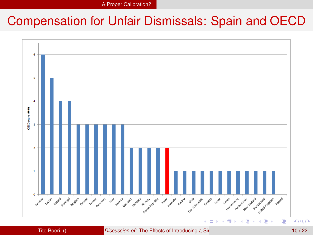# Compensation for Unfair Dismissals: Spain and OECD

<span id="page-9-0"></span>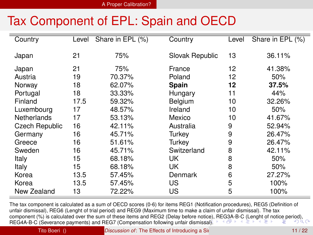### Tax Component of EPL: Spain and OECD

| Country        | Level | Share in EPL (%) | Country         | Level | Share in EPL (%) |
|----------------|-------|------------------|-----------------|-------|------------------|
| Japan          | 21    | 75%              | Slovak Republic | 13    | 36.11%           |
| Japan          | 21    | 75%              | France          | 12    | 41.38%           |
| Austria        | 19    | 70.37%           | Poland          | 12    | 50%              |
| Norway         | 18    | 62.07%           | Spain           | 12    | 37.5%            |
| Portugal       | 18    | 33.33%           | Hungary         | 11    | 44%              |
| Finland        | 17.5  | 59.32%           | Belgium         | 10    | 32.26%           |
| Luxembourg     | 17    | 48.57%           | Ireland         | 10    | 50%              |
| Netherlands    | 17    | 53.13%           | Mexico          | 10    | 41.67%           |
| Czech Republic | 16    | 42.11%           | Australia       | 9     | 52.94%           |
| Germany        | 16    | 45.71%           | Turkey          | 9     | 26.47%           |
| Greece         | 16    | 51.61%           | Turkey          | 9     | 26.47%           |
| Sweden         | 16    | 45.71%           | Switzerland     | 8     | 42.11%           |
| Italy          | 15    | 68.18%           | UK.             | 8     | 50%              |
| Italy          | 15    | 68.18%           | UK              | 8     | 50%              |
| Korea          | 13.5  | 57.45%           | Denmark         | 6     | 27.27%           |
| Korea          | 13.5  | 57.45%           | US              | 5     | 100%             |
| New Zealand    | 13    | 72.22%           | US              | 5     | 100%             |

<span id="page-10-0"></span>The tax component is calculated as a sum of OECD scores (0-6) for items REG1 (Notification procedures), REG5 (Definition of unfair dismissal), REG6 (Lenght of trial period) and REG9 (Maximum time to make a claim of unfair dismissal). The tax component (%) is calculated over the sum of these items and REG2 (Delay before notice)[, R](#page-11-0)[E](#page-9-0)[G3A](#page-10-0)[-B](#page-11-0)[-C](#page-7-0) [\(](#page-8-0)[Le](#page-13-0)[n](#page-14-0)[gh](#page-7-0)[t](#page-8-0) [of](#page-13-0) [no](#page-14-0)[tice](#page-0-0) [peri](#page-22-0)od),<br>BEG4A-B-C (Sourcesses permeate) and BEG7 (Componentian following unfair diamicdal),  $\mathbb{R}$  and REG4A-B-C (Severance payments) and REG7 (Compensation following unfair dismi[ssa](#page-9-0)l).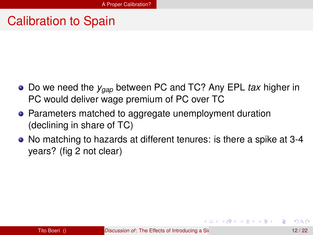# Calibration to Spain

- Do we need the *ygap* between PC and TC? Any EPL *tax* higher in PC would deliver wage premium of PC over TC
- **Parameters matched to aggregate unemployment duration** (declining in share of TC)
- No matching to hazards at different tenures: is there a spike at 3-4 years? (fig 2 not clear)

<span id="page-11-0"></span>( ロ ) ( *同* ) ( ヨ ) ( ヨ )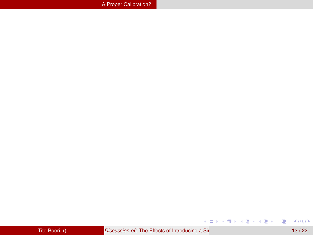<span id="page-12-0"></span>K ロ ▶ K 個 ▶ K 할 ▶ K 할 ▶ ... 할 → 9 Q @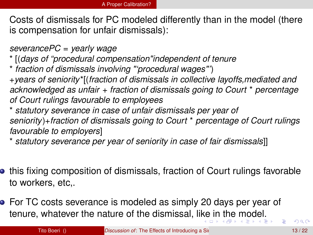Costs of dismissals for PC modeled differently than in the model (there is compensation for unfair dismissals):

- *severancePC* = *yearly wage*
- \* [(*days of "procedural compensation"independent of tenure*
- \* *fraction of dismissals involving "'procedural wages"'*)
- +*years of seniority*\*[(*fraction of dismissals in collective layoffs,mediated and acknowledged as unfair* + *fraction of dismissals going to Court* \* *percentage of Court rulings favourable to employees*
- \* *statutory severance in case of unfair dismissals per year of seniority*)+*fraction of dismissals going to Court* \* *percentage of Court rulings favourable to employers*]
- statutory severance per year of seniority in case of fair dismissals]]
- this fixing composition of dismissals, fraction of Court rulings favorable to workers, etc,.
- <span id="page-13-0"></span>For TC costs severance is modeled as simply 20 days per year of tenure, whatever the nature of the dismissal, li[ke](#page-12-0) [in](#page-14-0) [t](#page-11-0)[he](#page-12-0) [m](#page-7-0)[o](#page-13-0)[d](#page-14-0)[e](#page-7-0)[l.](#page-8-0)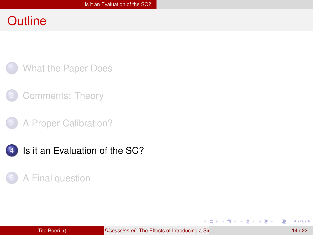- **[What the Paper Does](#page-2-0)**
- [Comments: Theory](#page-5-0)
- [A Proper Calibration?](#page-8-0)
- [Is it an Evaluation of the SC?](#page-14-0)

#### [A Final question](#page-19-0)

<span id="page-14-0"></span>イロト イ押ト イヨト イヨ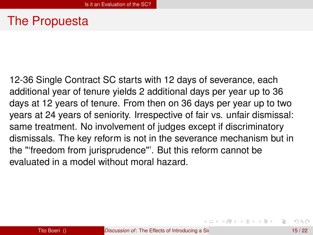### The Propuesta

12-36 Single Contract SC starts with 12 days of severance, each additional year of tenure yields 2 additional days per year up to 36 days at 12 years of tenure. From then on 36 days per year up to two years at 24 years of seniority. Irrespective of fair vs. unfair dismissal: same treatment. No involvement of judges except if discriminatory dismissals. The key reform is not in the severance mechanism but in the "'freedom from jurisprudence"'. But this reform cannot be evaluated in a model without moral hazard.

<span id="page-15-0"></span>( ロ ) ( *同* ) ( ヨ ) ( ヨ )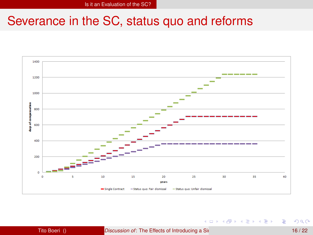### Severance in the SC, status quo and reforms



<span id="page-16-0"></span>**S** Þ

4 (D) 3 (F) 3 (F) 3 (F)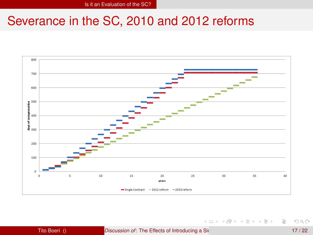### Severance in the SC, 2010 and 2012 reforms



<span id="page-17-0"></span>**S** Þ

4 (D) 3 (F) 3 (F) 3 (F)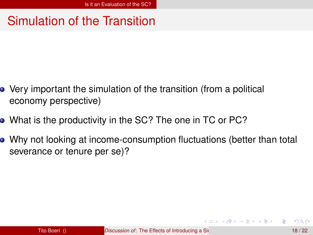# Simulation of the Transition

- Very important the simulation of the transition (from a political economy perspective)
- What is the productivity in the SC? The one in TC or PC?
- Why not looking at income-consumption fluctuations (better than total severance or tenure per se)?

<span id="page-18-0"></span> $(0,1)$   $(0,1)$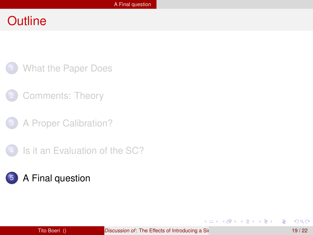- **[What the Paper Does](#page-2-0)**
- [Comments: Theory](#page-5-0)
- [A Proper Calibration?](#page-8-0)
- [Is it an Evaluation of the SC?](#page-14-0)

#### [A Final question](#page-19-0)

4 **EL 1 A PI 3 4** 

<span id="page-19-0"></span>ヨメ イヨメ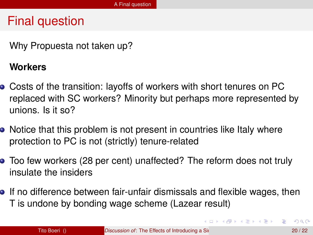# Final question

Why Propuesta not taken up?

#### **Workers**

- Costs of the transition: layoffs of workers with short tenures on PC replaced with SC workers? Minority but perhaps more represented by unions. Is it so?
- Notice that this problem is not present in countries like Italy where protection to PC is not (strictly) tenure-related
- Too few workers (28 per cent) unaffected? The reform does not truly insulate the insiders
- **If no difference between fair-unfair dismissals and flexible wages, then** T is undone by bonding wage scheme (Lazear result)

<span id="page-20-0"></span>4 0 8 4 4 9 8 4 9 8 4 9 8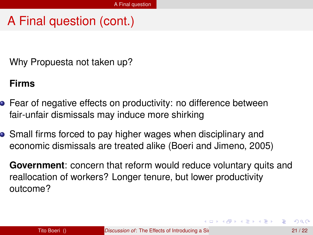# A Final question (cont.)

Why Propuesta not taken up?

#### **Firms**

- Fear of negative effects on productivity: no difference between fair-unfair dismissals may induce more shirking
- Small firms forced to pay higher wages when disciplinary and economic dismissals are treated alike (Boeri and Jimeno, 2005)
	- **Government**: concern that reform would reduce voluntary quits and reallocation of workers? Longer tenure, but lower productivity outcome?

<span id="page-21-0"></span>( ロ ) ( *同* ) ( ヨ ) ( ヨ )